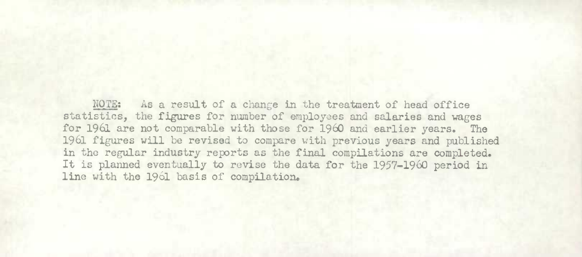NOTE: As a result of a change in the treatment of head office statistics, the figures for number of employees and salaries and wages for 1961 are not comparable with those for 1960 and earlier years. The 1961 figures will be revised to compare with previous years and published in the regular industry reprts as the final compilations are completed. It is planned eventually to revise the data for the 1957-1960 period in line with the 1961 basis of compilation.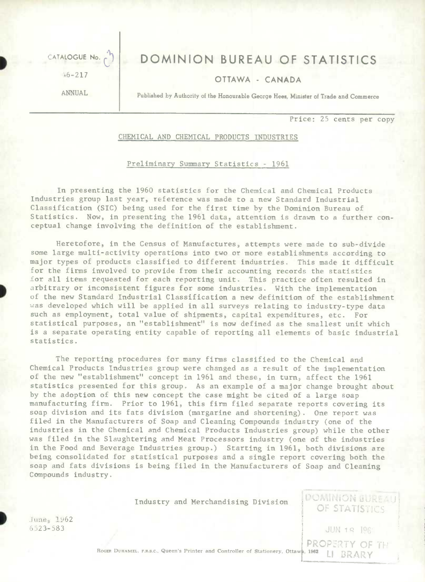CATALOGUE No. (1) DOMINION BUREAU OF STATISTICS

# +6 -217 OTTAWA CANADA

ANNUAL Published by Authority of the Honourable George Hees, Minister of Trade and Commerce

Price: 25 cents per copy

PROPERTY OF THE

**DOMINION BUREAU** OF STATISTICS

## CHEMICAL AND CHEMICAL PRODUCTS INDUSTRIES

#### Preliminary Summary Statistics - 1961

In presenting the 1960 statistics for the Chemical and Chemical Products Industries group last year, reference was made to a new Standard Industrial Classification (SIC) being used for the first time by the Dominion Bureau of Statistics. Now, in presenting the 1961 data, attention is drawn to a further conceptual change involving the definition of the establishment.

Heretofore, in the Census of Manufactures, attempts were made to sub-divide some large multi-activity operations into two or more establishments according to major types of products classified to different industries. This made it difficult for the firms involved to provide from their accounting records the statistics for all items requested for each reporting unit. This practice often resulted in arbitrary or inconsistent figures for some industries. With the implementation of the new Standard Industrial Classification a new definition of the establishment was developed which will be applied in all surveys relating to industry-type data such as employment, total value of shipments, capital expenditures, etc. For statistical purposes, an "establishment" is now defined as the smallest unit which is a separate operating entity capable of reporting all elements of basic industrial statistics.

The reporting procedures for many firms classified to the Chemical and Chemical Products Industries group were changed as a result of the implementation of the new "establishment" concept in 1961 and these, in turn, affect the 1961 statistics presented for this group. As an example of a major change brought about by the adoption of this new concept the case might be cited of a large soap manufacturing firm. Prior to 1961, this firm filed separate reports covering its soap division and its fats division (margarine and shortening). One report was filed in the Manufacturers of Soap and Cleaning Compounds industry (one of the industries in the Chemical and Chemical Products Industries group) while the other was filed in the Slaughtering and Meat Processors industry (one of the industries in the Food and Beverage Industries group.) Starting in 1961, both divisions are being consolidated for statistical purposes and a single report covering both the soap and fats divisions is being filed in the Manufacturers of Soap and Cleaning Compounds industry.

Industry and Merchandising Division

June<sub>: 1962</sub>  $6523 - 583$  JUN 19

ROGER DUHAMEL. F.R.S.C., Queen's Printer and Controller of Stationery, Ottawa, 1962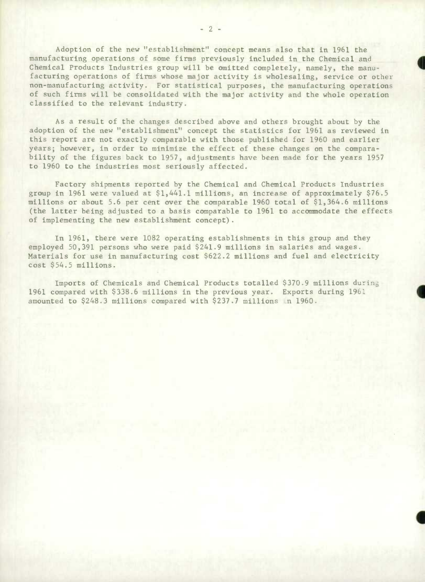Adoption of the new "establishment" concept means also that in 1961 the manufacturing operations of some firms previously included in the Chemical and Chemical Products Industries group will be omitted completely, namely, the manufacturing operations of firms whose major activity is wholesaling, service or other non-manufacturing activity. For statistical purposes, the manufacturing operations of such firms will be consolidated with the major activity and the whole operation classified to the relevant industry.

As a result of the changes described above and others brought about by the adoption of the new "establishment" concept the statistics for 1961 as reviewed in this report are not exactly comparable with those published for 1960 and earlier years; however, in order to minimize the effect of these changes on the comparability of the figures back to 1957, adjustments have been made for the years 1957 to 1960 to the industries most seriously affected.

Factory shipments reported by the Chemical and Chemical Products Industries group in 1961 were valued at \$1,441.1 millions, an increase of approximately \$76.5 millions or about 5.6 per cent over the comparable 1960 total of \$1,364.6 millions (the latter being adjusted to a basis comparable to 1961 to accommodate the effects of implementing the new establishment concept).

In 1961, there were 1082 operating establishments in this group and they employed 50,391 persons who were paid \$241.9 millions in salaries and wages. Materials for use in manufacturing cost \$622.2 millions and fuel and electricity cost \$54.5 millions.

Imports of Chemicals and Chemical Products totalled \$370.9 millions durin 1961 compared with \$338.6 millions in the previous year. Exports during 1961 amounted to \$248.3 millions compared with \$237.7 millions in 1960.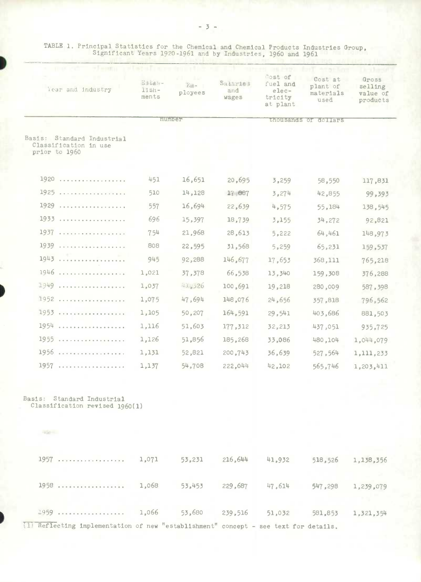| 451<br>510 | number<br>16,651 |         |        | diousands of do rais |           |
|------------|------------------|---------|--------|----------------------|-----------|
|            |                  |         |        |                      |           |
|            |                  |         |        |                      |           |
|            |                  | 20,695  | 3,259  | 58,550               | 117,831   |
|            | 14,128           | 17,887  | 3,274  | 42,855               | 99,393    |
| 557        | 16,694           | 22,639  | 4,575  | 55,184               | 138,545   |
| 696        | 15,397           | 18,739  | 3,155  | 34,272               | 92,821    |
| 754        | 21,968           | 28,613  | 5,222  | 64,461               | 148,973   |
| 808        | 22,595           | 31,568  | 5,259  | 65,231               | 159,537   |
| 945        | 92,288           | 146,677 | 17,653 | 368,111              | 765,218   |
| 1,021      | 37,378           | 66,538  | 13,340 | 159,308              | 376,288   |
| 1,037      | 41.326           | 100,691 | 19,218 | 280,009              | 587, 398  |
| 1,075      | 47,694           | 148,076 | 24,656 | 357,818              | 796,562   |
| 1,105      | 50,207           | 164,591 | 29,541 | 403,686              | 881,503   |
| 1,116      | 51,603           | 177,312 | 32,213 | 437,051              | 935,725   |
| 1,126      | 51,856           | 185,268 | 33,086 | 480,104              | 1,044,079 |
| 1,131      | 52,821           | 200,743 | 36,639 | 527,564              | 1,111,233 |
| 1,137      | 54,708           | 222,044 | 42,102 | 565,746              | 1,203,411 |
|            |                  |         |        |                      |           |
|            |                  |         |        |                      |           |
|            |                  |         |        |                      |           |

1957 .................. 1,071 53,231 216,61414 141,932 518,526 1,138,356 1958 .................. 1,068 53,14.53 229,687 147,6114 547,298 1,239,079 1959 .................. 1,066 53,680 239,516 51,032 581,853 1,321,3514  $\overline{11}$   $\overline{hef}$  lecting implementation of new "establishment" concept - see text for details.

TABLE 1, Principal Statistics for the Chemical and Chemical Products Industries Group, Significant Years 1920-1961 and by Industries, 1960 and 1961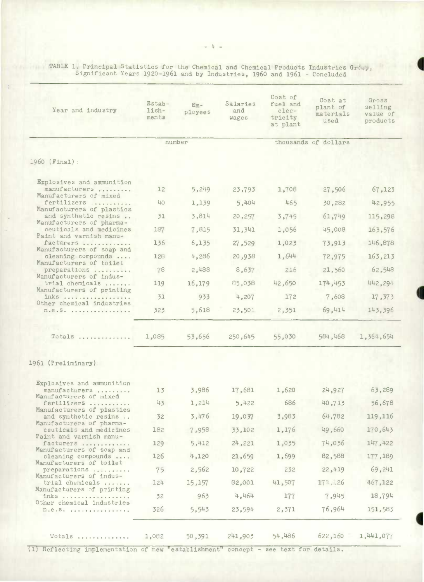TABLE 1. Principal Statistics for the Chemical and Chemical Products Industries Group<br>Significant Years 1920-1961 and by Industries, 1960 and 1961 - Concluded

| Year and industry                                                                                                                                                                                                                                                                                                                                                                                                        | <b>Estab-</b><br>$11sh-$<br>ments | $Em -$<br>ployees | Salaries<br>and<br>wages | Cost of<br>fuel and<br>elec-<br>tricity<br>at plant | Cost at<br>plant of<br>materials<br>used | Gross<br>selling<br>value of<br>products |
|--------------------------------------------------------------------------------------------------------------------------------------------------------------------------------------------------------------------------------------------------------------------------------------------------------------------------------------------------------------------------------------------------------------------------|-----------------------------------|-------------------|--------------------------|-----------------------------------------------------|------------------------------------------|------------------------------------------|
|                                                                                                                                                                                                                                                                                                                                                                                                                          | number                            |                   | thousands of dollars     |                                                     |                                          |                                          |
| 1960 (Final):                                                                                                                                                                                                                                                                                                                                                                                                            |                                   |                   |                          |                                                     |                                          |                                          |
|                                                                                                                                                                                                                                                                                                                                                                                                                          |                                   |                   |                          |                                                     |                                          |                                          |
| Explosives and ammunition<br>manufacturers                                                                                                                                                                                                                                                                                                                                                                               | 12                                | 5,249             | 23,793                   | 1,708                                               | 27,506                                   | 67, 123                                  |
| Manufacturers of mixed<br>fertilizers                                                                                                                                                                                                                                                                                                                                                                                    | 40                                | 1,139             | 5,404                    | 465                                                 | 30,282                                   | 42,955                                   |
| Manufacturers of plastics<br>and synthetic resins                                                                                                                                                                                                                                                                                                                                                                        | 31                                | 3,814             | 20, 257                  | 3,745                                               | 61,749                                   | 115,298                                  |
| Manufacturers of pharma-<br>ceuticals and medicines                                                                                                                                                                                                                                                                                                                                                                      | 187                               | 7,815             | 31,341                   | 1,056                                               | 45,008                                   | 163,576                                  |
| Paint and varnish manu-<br>facturers                                                                                                                                                                                                                                                                                                                                                                                     | 136                               | 6, 135            | 27,529                   | 1,023                                               | 73,913                                   | 146,878                                  |
| Manufacturers of soap and<br>cleaning compounds                                                                                                                                                                                                                                                                                                                                                                          | 128                               | 4,286             | 20,938                   | 1,644                                               | 72,975                                   | 163,213                                  |
| Manufacturers of toilet<br>preparations                                                                                                                                                                                                                                                                                                                                                                                  | 78                                | 2,488             | 8,637                    | 216                                                 | 21,560                                   | 62,548                                   |
| Manufacturers of indus-<br>trial chemicals                                                                                                                                                                                                                                                                                                                                                                               | 119                               | 16,179            | 85,038                   | 42,650                                              | 174,453                                  | 442,294                                  |
| Manufacturers of printing<br>inks<br>Other chemical industries<br>n.e. S.                                                                                                                                                                                                                                                                                                                                                | 31                                | 933               | 4,207                    | 172                                                 | 7,608                                    | 17,373                                   |
|                                                                                                                                                                                                                                                                                                                                                                                                                          | 323                               | 5,618             | 23,501                   | 2,351                                               | 69,414                                   | 143,396                                  |
| $TotalS$                                                                                                                                                                                                                                                                                                                                                                                                                 | 1,085                             | 53,656            | 250,645                  | 55,030                                              | 584,468                                  | 1,364,654                                |
| 1961 (Preliminary):                                                                                                                                                                                                                                                                                                                                                                                                      |                                   |                   |                          |                                                     |                                          |                                          |
|                                                                                                                                                                                                                                                                                                                                                                                                                          |                                   |                   |                          |                                                     |                                          |                                          |
| Explosives and ammunition<br>manufacturers<br>Manufacturers of mixed<br>fertilizers<br>Manufacturers of plastics<br>and synthetic resins<br>Manufacturers of pharma-<br>ceuticals and medicines<br>Paint and varnish manu-<br>facturers<br>Manufacturers of soap and<br>cleaning compounds<br>Manufacturers of toilet<br>preparations<br>Manufacturers of indus-<br>trial chemicals<br>Manufacturers of printing<br>inks | 13 <sub>1</sub>                   | 3,986             | 17,681                   | 1,620                                               | 24,927                                   | 63,289                                   |
|                                                                                                                                                                                                                                                                                                                                                                                                                          | 43                                | 1,214             | 5,422                    | 686                                                 | 40,713                                   | 56,678                                   |
|                                                                                                                                                                                                                                                                                                                                                                                                                          | 32                                | 3,476             | 19,037                   | 3,983                                               | 64,782                                   | 119,116                                  |
|                                                                                                                                                                                                                                                                                                                                                                                                                          | 182                               | 7,958             | 33,102                   | 1,176                                               | 49,660                                   | 170,643                                  |
|                                                                                                                                                                                                                                                                                                                                                                                                                          | 129                               | 5,412             | 24,221                   | 1,035                                               | 74,036                                   | 147,422                                  |
|                                                                                                                                                                                                                                                                                                                                                                                                                          | 126                               | 4,120             | 21,659                   | 1,699                                               | 82,588                                   | 177,189                                  |
|                                                                                                                                                                                                                                                                                                                                                                                                                          | 75                                | 2,562             | 10,722                   | 232                                                 | 22,419                                   | 69,241                                   |
|                                                                                                                                                                                                                                                                                                                                                                                                                          | 124                               | 15, 157           | 82,001                   | 41,507                                              | 170, .26                                 | 467,122                                  |
|                                                                                                                                                                                                                                                                                                                                                                                                                          | 32                                | 963               | 4,464                    | 177                                                 | 7,945                                    | 18,794                                   |
| Other chemical industries<br>$n.e.s.$                                                                                                                                                                                                                                                                                                                                                                                    | 326                               | 5,543             | 23,594                   | 2,371                                               | 76,964                                   | 151,583                                  |
| Totals                                                                                                                                                                                                                                                                                                                                                                                                                   | 1,082                             | 50,391            | 241,903                  | 54,486                                              | 622,160                                  | 1,441,077                                |

**I**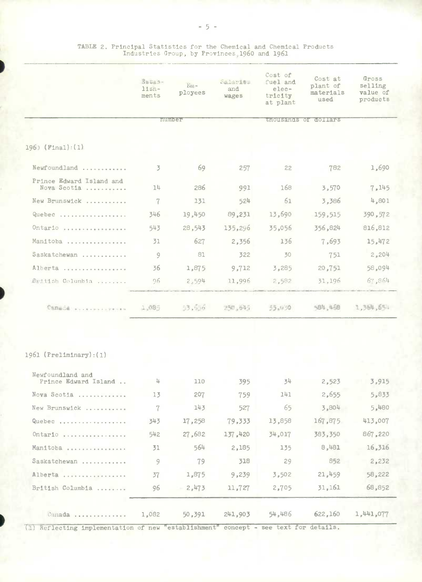|                                         | Butab-<br>$11$ sh-<br>ments | $Em -$<br>ployees | Salaries<br>and<br>wages | Cost of<br>fuel and<br>elec-<br>tricity<br>at plant | Cost at<br>plant of<br>materials<br>used | Gross<br>selling<br>value of<br>products |
|-----------------------------------------|-----------------------------|-------------------|--------------------------|-----------------------------------------------------|------------------------------------------|------------------------------------------|
|                                         | <b>othologica</b>           |                   |                          |                                                     | <b>MitoDisklides</b> of Goldens          |                                          |
| $196)$ (Final): (1):                    |                             |                   |                          |                                                     |                                          |                                          |
| Newfoundland                            | 3                           | 69                | 257                      | 22                                                  | 782                                      | 1,690                                    |
| Prince Edward Island and<br>Nova Scotia | 14                          | 286               | 991                      | 168                                                 | 3.570                                    | 7,145                                    |
| New Brunswick                           | 7                           | 131               | 524                      | 61                                                  | 3,386                                    | 4,801                                    |
| Quebec                                  | 346                         | 19,450            | 89,231                   | 13,690                                              | 159.515                                  | 390,572                                  |
| Ontario                                 | 543                         | 28,543            | 135,296                  | 35,056                                              | 356,824                                  | 816,812                                  |
| Manitoba                                | 31                          | 627               | 2,356                    | 136                                                 | 7,693                                    | 15,472                                   |
| Saskatchewan                            | 9                           | 81                | 322                      | 30                                                  | 751                                      | 2,204                                    |
| Alberta                                 | 36                          | 1,875             | 9,712                    | 3,285                                               | 20,751                                   | 58,094                                   |
| British Columbia                        | 96                          | 2.594             | 11,996                   | 2,582                                               | 31,196                                   | 67,864                                   |
| Canada proposessions                    | 1,085                       | 53,656            | 250,645                  | 55.030                                              | SB4, 468                                 | 1,364,654                                |
|                                         |                             |                   |                          |                                                     |                                          |                                          |

# TABLE 2. Principal Statistics for the Chemical and Chemical Products<br>Industries Group, by Provinces, 1960 and 1961

## 1961 (Preliminary): (1)

| Newfoundland and<br>Prince Edward Island | 4     | 110    | 395     | 34     | 2,523   | 3,915     |
|------------------------------------------|-------|--------|---------|--------|---------|-----------|
| Nova Scotia                              | 13    | 207    | 759     | 141    | 2,655   | 5,833     |
| New Brunswick                            | 7     | 143    | 527     | 65     | 3,804   | 5,480     |
| Quebec                                   | 343   | 17,258 | 79,333  | 13,858 | 167,875 | 413.007   |
| Ontario                                  | 542   | 27,682 | 137,420 | 34.017 | 383,350 | 867,220   |
| Manitoba                                 | 31    | 564    | 2,185   | 135    | 8,481   | 16,316    |
| Saskatchewan                             | 9     | 79     | 318     | 29     | 852     | 2,232     |
| Alberta                                  | 37    | 1.875  | 9,239   | 3,502  | 21,459  | 58,222    |
| British Columbia                         | 96    | 2,473  | 11.727  | 2,705  | 31,161  | 68,852    |
| $Canada$ ,,,,,,,,,,,,,,,,                | 1,082 | 50,391 | 241,903 | 54,486 | 622,160 | 1,441,077 |

(1) Reflecting implementation of new "establishment" concept - see text for details.